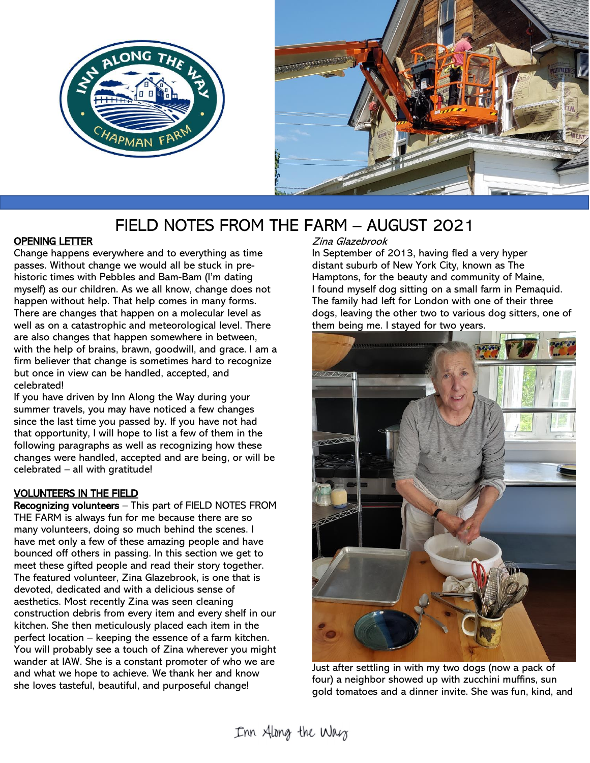



# FIELD NOTES FROM THE FARM – AUGUST 2021

#### OPENING LETTER

Change happens everywhere and to everything as time passes. Without change we would all be stuck in prehistoric times with Pebbles and Bam-Bam (I'm dating myself) as our children. As we all know, change does not happen without help. That help comes in many forms. There are changes that happen on a molecular level as well as on a catastrophic and meteorological level. There are also changes that happen somewhere in between, with the help of brains, brawn, goodwill, and grace. I am a firm believer that change is sometimes hard to recognize but once in view can be handled, accepted, and celebrated!

If you have driven by Inn Along the Way during your summer travels, you may have noticed a few changes since the last time you passed by. If you have not had that opportunity, I will hope to list a few of them in the following paragraphs as well as recognizing how these changes were handled, accepted and are being, or will be celebrated – all with gratitude!

#### VOLUNTEERS IN THE FIELD

Recognizing volunteers – This part of FIELD NOTES FROM THE FARM is always fun for me because there are so many volunteers, doing so much behind the scenes. I have met only a few of these amazing people and have bounced off others in passing. In this section we get to meet these gifted people and read their story together. The featured volunteer, Zina Glazebrook, is one that is devoted, dedicated and with a delicious sense of aesthetics. Most recently Zina was seen cleaning construction debris from every item and every shelf in our kitchen. She then meticulously placed each item in the perfect location – keeping the essence of a farm kitchen. You will probably see a touch of Zina wherever you might wander at IAW. She is a constant promoter of who we are and what we hope to achieve. We thank her and know she loves tasteful, beautiful, and purposeful change!

Zina Glazebrook

In September of 2013, having fled a very hyper distant suburb of New York City, known as The Hamptons, for the beauty and community of Maine, I found myself dog sitting on a small farm in Pemaquid. The family had left for London with one of their three dogs, leaving the other two to various dog sitters, one of them being me. I stayed for two years.



Just after settling in with my two dogs (now a pack of four) a neighbor showed up with zucchini muffins, sun gold tomatoes and a dinner invite. She was fun, kind, and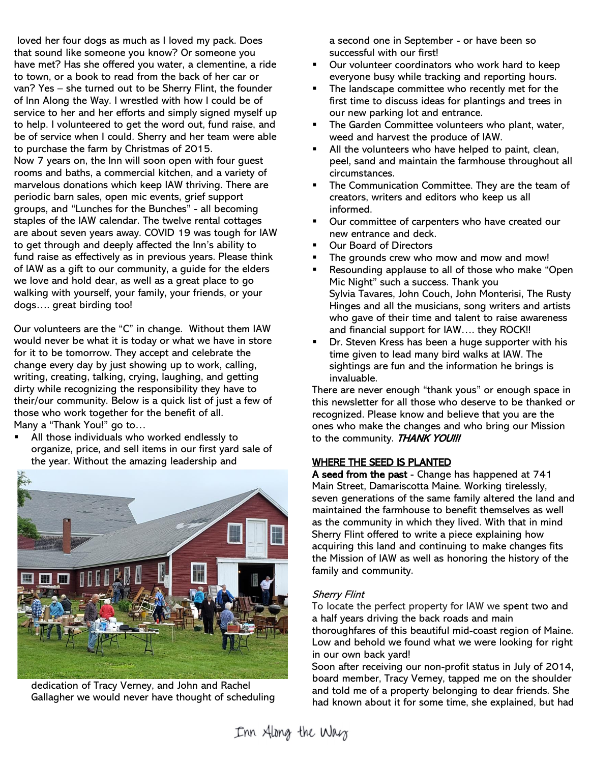loved her four dogs as much as I loved my pack. Does that sound like someone you know? Or someone you have met? Has she offered you water, a clementine, a ride to town, or a book to read from the back of her car or van? Yes – she turned out to be Sherry Flint, the founder of Inn Along the Way. I wrestled with how I could be of service to her and her efforts and simply signed myself up to help. I volunteered to get the word out, fund raise, and be of service when I could. Sherry and her team were able to purchase the farm by Christmas of 2015. Now 7 years on, the Inn will soon open with four guest rooms and baths, a commercial kitchen, and a variety of marvelous donations which keep IAW thriving. There are periodic barn sales, open mic events, grief support groups, and "Lunches for the Bunches" - all becoming staples of the IAW calendar. The twelve rental cottages are about seven years away. COVID 19 was tough for IAW to get through and deeply affected the Inn's ability to fund raise as effectively as in previous years. Please think of IAW as a gift to our community, a guide for the elders we love and hold dear, as well as a great place to go walking with yourself, your family, your friends, or your dogs…. great birding too!

Our volunteers are the "C" in change. Without them IAW would never be what it is today or what we have in store for it to be tomorrow. They accept and celebrate the change every day by just showing up to work, calling, writing, creating, talking, crying, laughing, and getting dirty while recognizing the responsibility they have to their/our community. Below is a quick list of just a few of those who work together for the benefit of all.

Many a "Thank You!" go to…

All those individuals who worked endlessly to organize, price, and sell items in our first yard sale of the year. Without the amazing leadership and



dedication of Tracy Verney, and John and Rachel Gallagher we would never have thought of scheduling

a second one in September - or have been so successful with our first!

- Our volunteer coordinators who work hard to keep everyone busy while tracking and reporting hours.
- The landscape committee who recently met for the first time to discuss ideas for plantings and trees in our new parking lot and entrance.
- **EXEC** The Garden Committee volunteers who plant, water, weed and harvest the produce of IAW.
- All the volunteers who have helped to paint, clean, peel, sand and maintain the farmhouse throughout all circumstances.
- The Communication Committee. They are the team of creators, writers and editors who keep us all informed.
- Our committee of carpenters who have created our new entrance and deck.
- Our Board of Directors
- The grounds crew who mow and mow and mow!
- Resounding applause to all of those who make "Open Mic Night" such a success. Thank you Sylvia Tavares, John Couch, John Monterisi, The Rusty Hinges and all the musicians, song writers and artists who gave of their time and talent to raise awareness and financial support for IAW…. they ROCK!!
- Dr. Steven Kress has been a huge supporter with his time given to lead many bird walks at IAW. The sightings are fun and the information he brings is invaluable.

There are never enough "thank yous" or enough space in this newsletter for all those who deserve to be thanked or recognized. Please know and believe that you are the ones who make the changes and who bring our Mission to the community. THANK YOU!!!

#### WHERE THE SEED IS PLANTED

A seed from the past - Change has happened at 741 Main Street, Damariscotta Maine. Working tirelessly, seven generations of the same family altered the land and maintained the farmhouse to benefit themselves as well as the community in which they lived. With that in mind Sherry Flint offered to write a piece explaining how acquiring this land and continuing to make changes fits the Mission of IAW as well as honoring the history of the family and community.

#### Sherry Flint

To locate the perfect property for IAW we spent two and a half years driving the back roads and main thoroughfares of this beautiful mid-coast region of Maine. Low and behold we found what we were looking for right

in our own back yard!

Soon after receiving our non-profit status in July of 2014, board member, Tracy Verney, tapped me on the shoulder and told me of a property belonging to dear friends. She had known about it for some time, she explained, but had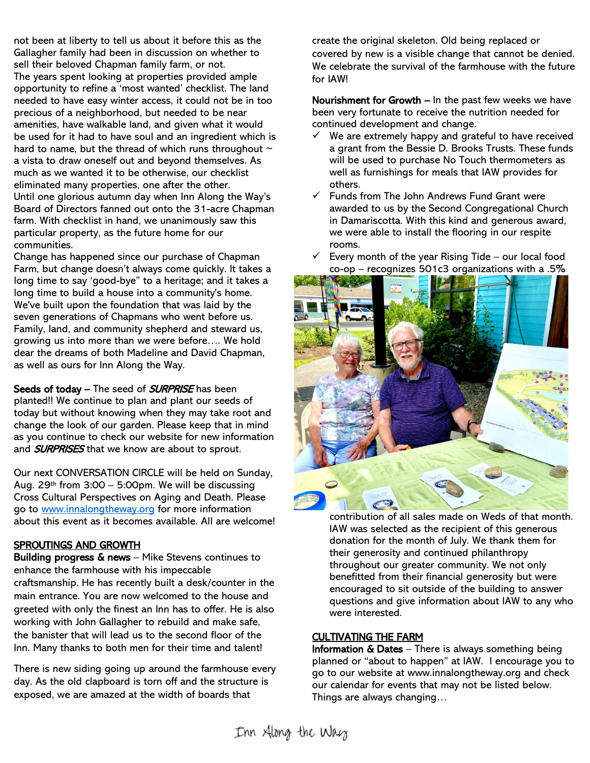not been at liberty to tell us about it before this as the Gallagher family had been in discussion on whether to sell their beloved Chapman family farm, or not. The years spent looking at properties provided ample opportunity to refine a 'most wanted' checklist. The land needed to have easy winter access, it could not be in too precious of a neighborhood, but needed to be near amenities, have walkable land, and given what it would be used for it had to have soul and an ingredient which is hard to name, but the thread of which runs throughout  $\sim$ a vista to draw oneself out and beyond themselves. As much as we wanted it to be otherwise, our checklist eliminated many properties, one after the other. Until one glorious autumn day when Inn Along the Way's Board of Directors fanned out onto the 31-acre Chapman farm. With checklist in hand, we unanimously saw this particular property, as the future home for our communities.

Change has happened since our purchase of Chapman Farm, but change doesn't always come quickly. It takes a long time to say 'good-bye" to a heritage; and it takes a long time to build a house into a community's home. We've built upon the foundation that was laid by the seven generations of Chapmans who went before us. Family, land, and community shepherd and steward us, growing us into more than we were before…. We hold dear the dreams of both Madeline and David Chapman, as well as ours for Inn Along the Way.

Seeds of today – The seed of **SURPRISE** has been planted!! We continue to plan and plant our seeds of today but without knowing when they may take root and change the look of our garden. Please keep that in mind as you continue to check our website for new information and **SURPRISES** that we know are about to sprout.

Our next CONVERSATION CIRCLE will be held on Sunday, Aug.  $29<sup>th</sup>$  from  $3:00 - 5:00$ pm. We will be discussing Cross Cultural Perspectives on Aging and Death. Please go to [www.innalongtheway.org](http://www.innalongtheway.org/) for more information about this event as it becomes available. All are welcome!

#### SPROUTINGS AND GROWTH

Building progress & news – Mike Stevens continues to enhance the farmhouse with his impeccable craftsmanship. He has recently built a desk/counter in the main entrance. You are now welcomed to the house and greeted with only the finest an Inn has to offer. He is also working with John Gallagher to rebuild and make safe, the banister that will lead us to the second floor of the Inn. Many thanks to both men for their time and talent!

There is new siding going up around the farmhouse every day. As the old clapboard is torn off and the structure is exposed, we are amazed at the width of boards that

create the original skeleton. Old being replaced or covered by new is a visible change that cannot be denied. We celebrate the survival of the farmhouse with the future for IAW!

Nourishment for Growth – In the past few weeks we have been very fortunate to receive the nutrition needed for continued development and change.

- $\checkmark$  We are extremely happy and grateful to have received a grant from the Bessie D. Brooks Trusts. These funds will be used to purchase No Touch thermometers as well as furnishings for meals that IAW provides for others.
- $\checkmark$  Funds from The John Andrews Fund Grant were awarded to us by the Second Congregational Church in Damariscotta. With this kind and generous award, we were able to install the flooring in our respite rooms.



Every month of the year Rising Tide – our local food  $co$ -op – recognizes 501c3 organizations with a .5%

contribution of all sales made on Weds of that month. IAW was selected as the recipient of this generous donation for the month of July. We thank them for their generosity and continued philanthropy throughout our greater community. We not only benefitted from their financial generosity but were encouraged to sit outside of the building to answer questions and give information about IAW to any who were interested.

#### CULTIVATING THE FARM

**Information**  $\&$  **Dates** – There is always something being planned or "about to happen" at IAW. I encourage you to go to our website at www.innalongtheway.org and check our calendar for events that may not be listed below. Things are always changing…